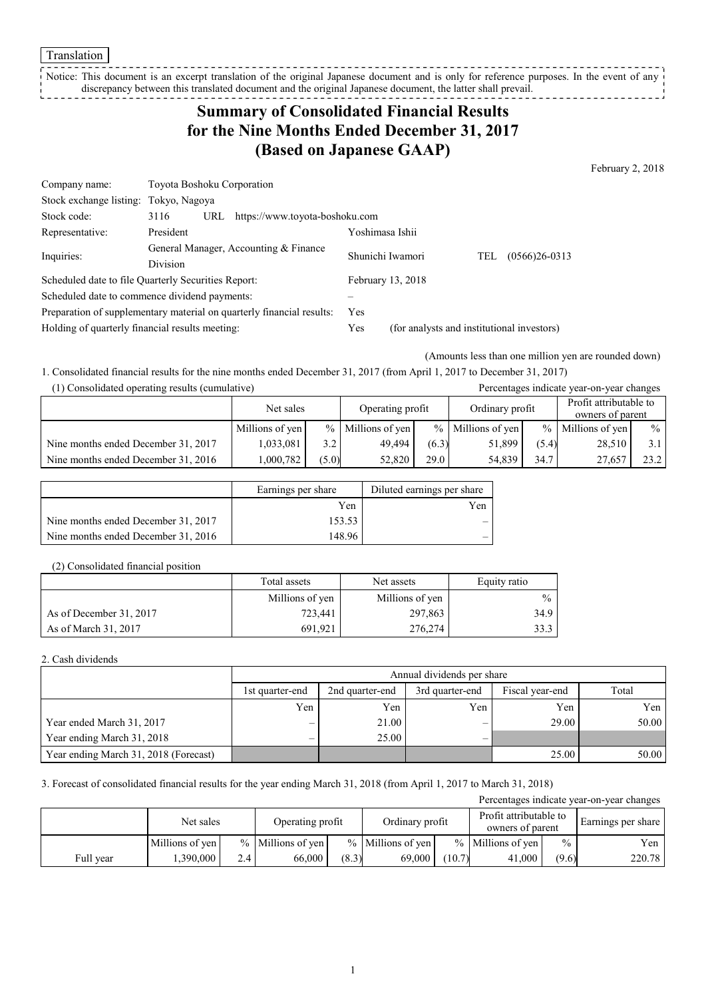Translation

Notice: This document is an excerpt translation of the original Japanese document and is only for reference purposes. In the event of any discrepancy between this translated document and the original Japanese document, the latter shall prevail.

# **Summary of Consolidated Financial Results for the Nine Months Ended December 31, 2017 (Based on Japanese GAAP)**

February 2, 2018

| Company name:                                   | Toyota Boshoku Corporation                                            |                   |                                            |                          |  |
|-------------------------------------------------|-----------------------------------------------------------------------|-------------------|--------------------------------------------|--------------------------|--|
| Stock exchange listing:                         | Tokyo, Nagoya                                                         |                   |                                            |                          |  |
| Stock code:                                     | https://www.toyota-boshoku.com<br>3116<br>URL                         |                   |                                            |                          |  |
| Representative:                                 | President                                                             | Yoshimasa Ishii   |                                            |                          |  |
| Inquiries:                                      | General Manager, Accounting & Finance                                 | Shunichi Iwamori  |                                            | $(0566)26 - 0313$<br>TEL |  |
|                                                 | <b>Division</b>                                                       |                   |                                            |                          |  |
|                                                 | Scheduled date to file Quarterly Securities Report:                   | February 13, 2018 |                                            |                          |  |
|                                                 | Scheduled date to commence dividend payments:                         |                   |                                            |                          |  |
|                                                 | Preparation of supplementary material on quarterly financial results: | Yes               |                                            |                          |  |
| Holding of quarterly financial results meeting: |                                                                       | Yes               | (for analysts and institutional investors) |                          |  |

(Amounts less than one million yen are rounded down)

1. Consolidated financial results for the nine months ended December 31, 2017 (from April 1, 2017 to December 31, 2017)

| (1) Consolidated operating results (cumulative) |                 |       |                     |       |                     |               | Percentages indicate year-on-year changes  |               |
|-------------------------------------------------|-----------------|-------|---------------------|-------|---------------------|---------------|--------------------------------------------|---------------|
|                                                 | Net sales       |       | Operating profit    |       | Ordinary profit     |               | Profit attributable to<br>owners of parent |               |
|                                                 | Millions of yen |       | $%$ Millions of yen |       | $%$ Millions of yen | $\frac{0}{0}$ | Millions of yen                            | $\frac{0}{0}$ |
| Nine months ended December 31, 2017             | 1,033,081       | 3.2   | 49.494              | (6.3) | 51.899              | (5.4)         | 28,510                                     | 3.1           |
| Nine months ended December 31, 2016             | .000.782        | (5.0) | 52.820              | 29.0  | 54.839              | 34.7          | 27,657                                     | 23.2          |

|                                     | Earnings per share | Diluted earnings per share |
|-------------------------------------|--------------------|----------------------------|
|                                     | Yen                | Yen                        |
| Nine months ended December 31, 2017 | 153.53             |                            |
| Nine months ended December 31, 2016 | 148.96             |                            |

#### (2) Consolidated financial position

|                         | Total assets    | Net assets      |               |
|-------------------------|-----------------|-----------------|---------------|
|                         | Millions of yen | Millions of yen | $\frac{0}{0}$ |
| As of December 31, 2017 | 723.441         | 297,863         | 34.9          |
| As of March 31, 2017    | 691.921         | 276,274         | 33.3          |

### 2. Cash dividends

|                                       |                 | Annual dividends per share                                     |     |       |       |  |  |  |
|---------------------------------------|-----------------|----------------------------------------------------------------|-----|-------|-------|--|--|--|
|                                       | 1st quarter-end | Total<br>3rd quarter-end<br>2nd quarter-end<br>Fiscal year-end |     |       |       |  |  |  |
|                                       | Yen             | Yen                                                            | Yen | Yen   | Yen   |  |  |  |
| Year ended March 31, 2017             |                 | 21.00                                                          |     | 29.00 | 50.00 |  |  |  |
| Year ending March 31, 2018            |                 | 25.00                                                          |     |       |       |  |  |  |
| Year ending March 31, 2018 (Forecast) |                 |                                                                |     | 25.00 | 50.00 |  |  |  |

#### 3. Forecast of consolidated financial results for the year ending March 31, 2018 (from April 1, 2017 to March 31, 2018)

|           |                 |     |                      |       |                     |        |                                            |               | Percentages indicate year-on-year changes |                    |
|-----------|-----------------|-----|----------------------|-------|---------------------|--------|--------------------------------------------|---------------|-------------------------------------------|--------------------|
|           | Net sales       |     | Operating profit     |       | Ordinary profit     |        | Profit attributable to<br>owners of parent |               |                                           | Earnings per share |
|           | Millions of yen |     | $\%$ Millions of yen |       | $%$ Millions of yen |        | $%$ Millions of yen                        | $\frac{0}{0}$ | Yen                                       |                    |
| Full year | .390.000        | 2.4 | 66,000               | (8.3) | 69.000              | (10.7) | 41,000                                     | (9.6)         | 220.78                                    |                    |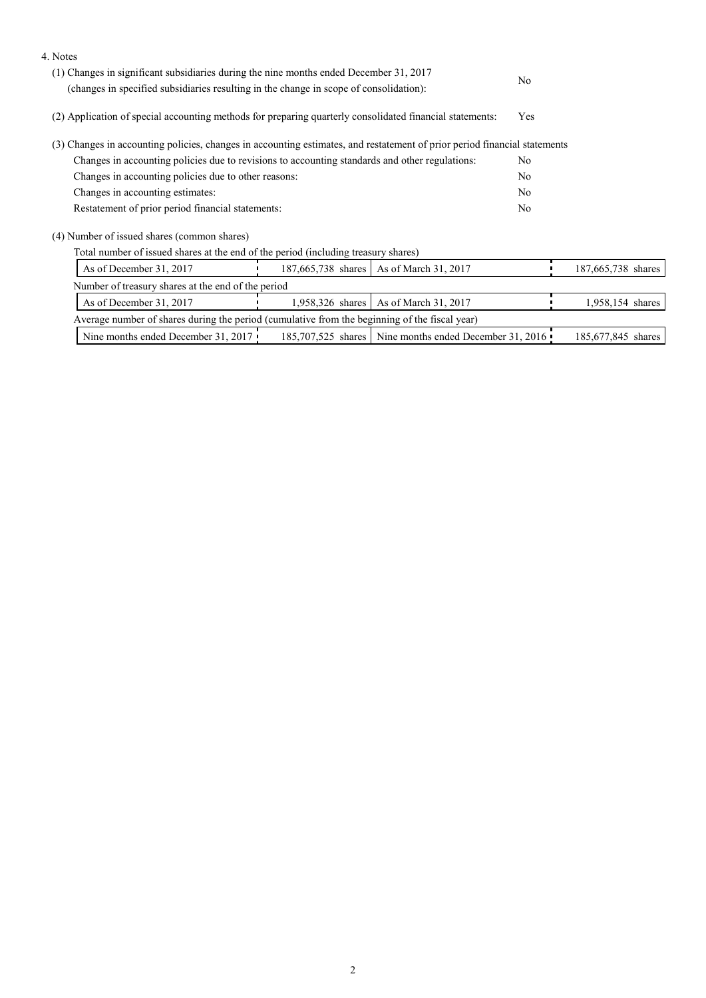| 4. Notes                                                                                                                  |                    |                                                          |                |                    |  |
|---------------------------------------------------------------------------------------------------------------------------|--------------------|----------------------------------------------------------|----------------|--------------------|--|
| (1) Changes in significant subsidiaries during the nine months ended December 31, 2017                                    |                    |                                                          | N <sub>0</sub> |                    |  |
| (changes in specified subsidiaries resulting in the change in scope of consolidation):                                    |                    |                                                          |                |                    |  |
| (2) Application of special accounting methods for preparing quarterly consolidated financial statements:                  |                    |                                                          | Yes            |                    |  |
| (3) Changes in accounting policies, changes in accounting estimates, and restatement of prior period financial statements |                    |                                                          |                |                    |  |
| Changes in accounting policies due to revisions to accounting standards and other regulations:                            |                    |                                                          | No.            |                    |  |
| Changes in accounting policies due to other reasons:                                                                      |                    |                                                          | N <sub>0</sub> |                    |  |
| Changes in accounting estimates:                                                                                          |                    |                                                          | No             |                    |  |
| Restatement of prior period financial statements:                                                                         |                    |                                                          | No             |                    |  |
| (4) Number of issued shares (common shares)                                                                               |                    |                                                          |                |                    |  |
| Total number of issued shares at the end of the period (including treasury shares)                                        |                    |                                                          |                |                    |  |
| As of December 31, 2017                                                                                                   | 187,665,738 shares | As of March 31, 2017                                     |                | 187,665,738 shares |  |
| Number of treasury shares at the end of the period                                                                        |                    |                                                          |                |                    |  |
| As of December 31, 2017                                                                                                   | 1,958,326 shares   | As of March 31, 2017                                     |                | 1,958,154 shares   |  |
| Average number of shares during the period (cumulative from the beginning of the fiscal year)                             |                    |                                                          |                |                    |  |
| Nine months ended December 31, 2017                                                                                       |                    | 185,707,525 shares   Nine months ended December 31, 2016 |                | 185,677,845 shares |  |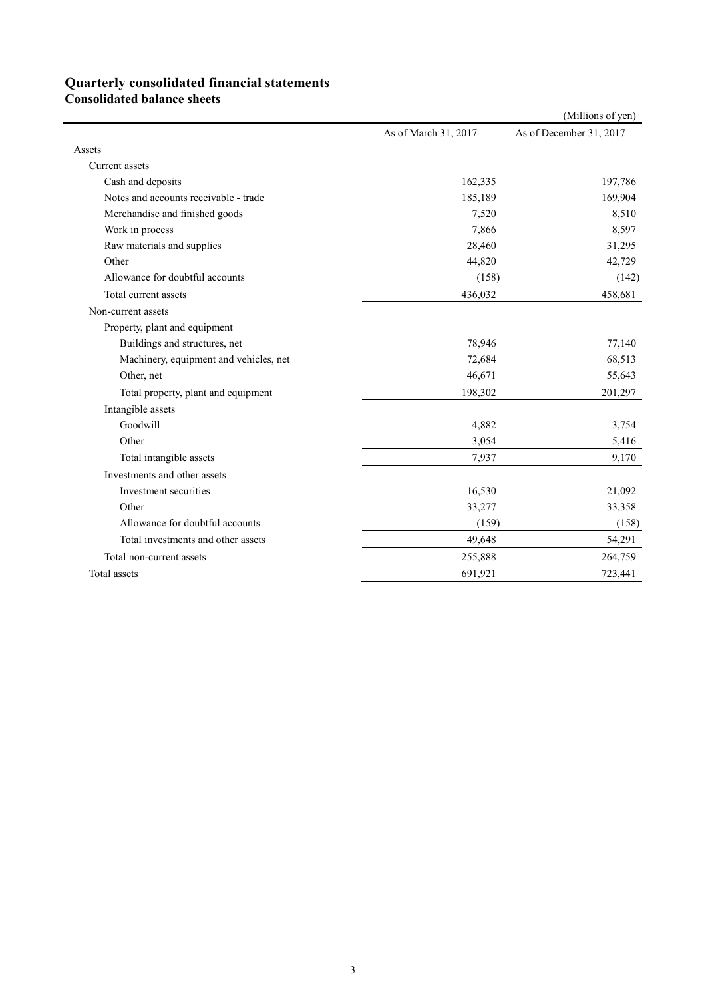## **Quarterly consolidated financial statements**

**Consolidated balance sheets** 

|                                        |                      | (Millions of yen)       |
|----------------------------------------|----------------------|-------------------------|
|                                        | As of March 31, 2017 | As of December 31, 2017 |
| Assets                                 |                      |                         |
| Current assets                         |                      |                         |
| Cash and deposits                      | 162,335              | 197,786                 |
| Notes and accounts receivable - trade  | 185,189              | 169,904                 |
| Merchandise and finished goods         | 7,520                | 8,510                   |
| Work in process                        | 7,866                | 8,597                   |
| Raw materials and supplies             | 28,460               | 31,295                  |
| Other                                  | 44,820               | 42,729                  |
| Allowance for doubtful accounts        | (158)                | (142)                   |
| Total current assets                   | 436,032              | 458,681                 |
| Non-current assets                     |                      |                         |
| Property, plant and equipment          |                      |                         |
| Buildings and structures, net          | 78,946               | 77,140                  |
| Machinery, equipment and vehicles, net | 72,684               | 68,513                  |
| Other, net                             | 46,671               | 55,643                  |
| Total property, plant and equipment    | 198,302              | 201,297                 |
| Intangible assets                      |                      |                         |
| Goodwill                               | 4,882                | 3,754                   |
| Other                                  | 3,054                | 5,416                   |
| Total intangible assets                | 7,937                | 9,170                   |
| Investments and other assets           |                      |                         |
| Investment securities                  | 16,530               | 21,092                  |
| Other                                  | 33,277               | 33,358                  |
| Allowance for doubtful accounts        | (159)                | (158)                   |
| Total investments and other assets     | 49,648               | 54,291                  |
| Total non-current assets               | 255,888              | 264,759                 |
| Total assets                           | 691,921              | 723,441                 |
|                                        |                      |                         |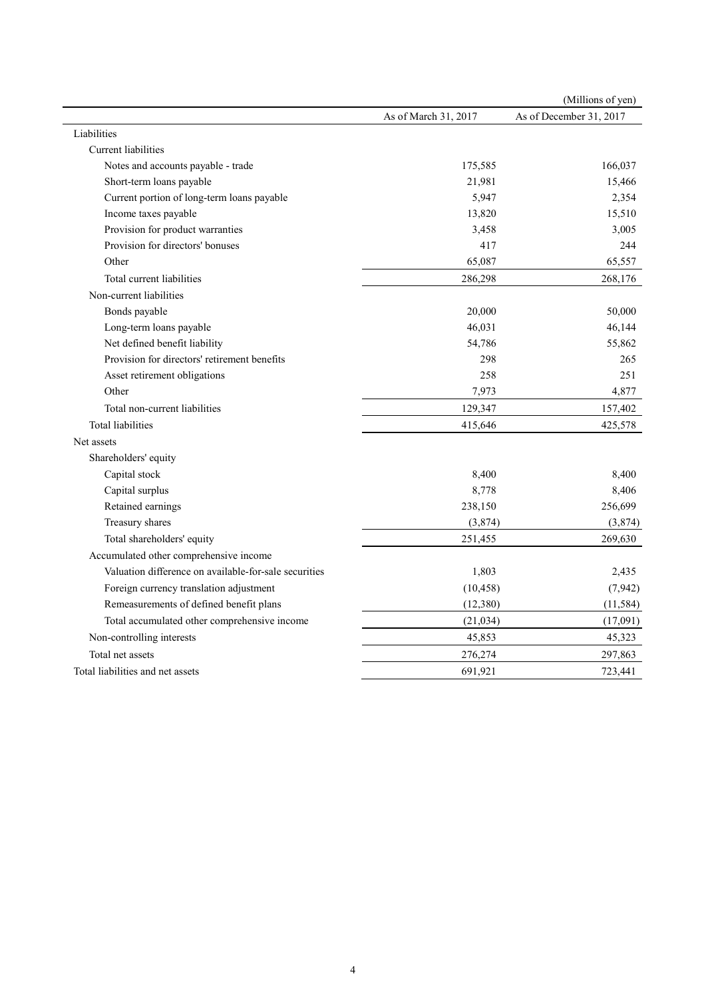| As of March 31, 2017<br>As of December 31, 2017<br>Current liabilities<br>Notes and accounts payable - trade<br>175,585<br>Short-term loans payable<br>21,981<br>Current portion of long-term loans payable<br>5,947<br>Income taxes payable<br>13,820<br>Provision for product warranties<br>3,458<br>Provision for directors' bonuses<br>417<br>Other<br>65,087<br>Total current liabilities<br>286,298<br>Non-current liabilities<br>20,000<br>Bonds payable<br>46,031<br>Long-term loans payable<br>Net defined benefit liability<br>54,786<br>Provision for directors' retirement benefits<br>298<br>Asset retirement obligations<br>258<br>Other<br>7,973<br>Total non-current liabilities<br>129,347<br><b>Total liabilities</b><br>415,646<br>Net assets<br>Shareholders' equity<br>Capital stock<br>8,400<br>Capital surplus<br>8,778<br>Retained earnings<br>238,150<br>Treasury shares<br>(3,874)<br>Total shareholders' equity<br>251,455<br>Accumulated other comprehensive income<br>Valuation difference on available-for-sale securities<br>1,803<br>Foreign currency translation adjustment<br>(10, 458)<br>Remeasurements of defined benefit plans<br>(12, 380)<br>Total accumulated other comprehensive income<br>(21, 034)<br>Non-controlling interests<br>45,853<br>Total net assets<br>276,274 |                                  |         | (Millions of yen) |
|----------------------------------------------------------------------------------------------------------------------------------------------------------------------------------------------------------------------------------------------------------------------------------------------------------------------------------------------------------------------------------------------------------------------------------------------------------------------------------------------------------------------------------------------------------------------------------------------------------------------------------------------------------------------------------------------------------------------------------------------------------------------------------------------------------------------------------------------------------------------------------------------------------------------------------------------------------------------------------------------------------------------------------------------------------------------------------------------------------------------------------------------------------------------------------------------------------------------------------------------------------------------------------------------------------------------|----------------------------------|---------|-------------------|
|                                                                                                                                                                                                                                                                                                                                                                                                                                                                                                                                                                                                                                                                                                                                                                                                                                                                                                                                                                                                                                                                                                                                                                                                                                                                                                                      |                                  |         |                   |
|                                                                                                                                                                                                                                                                                                                                                                                                                                                                                                                                                                                                                                                                                                                                                                                                                                                                                                                                                                                                                                                                                                                                                                                                                                                                                                                      | Liabilities                      |         |                   |
|                                                                                                                                                                                                                                                                                                                                                                                                                                                                                                                                                                                                                                                                                                                                                                                                                                                                                                                                                                                                                                                                                                                                                                                                                                                                                                                      |                                  |         |                   |
|                                                                                                                                                                                                                                                                                                                                                                                                                                                                                                                                                                                                                                                                                                                                                                                                                                                                                                                                                                                                                                                                                                                                                                                                                                                                                                                      |                                  |         | 166,037           |
|                                                                                                                                                                                                                                                                                                                                                                                                                                                                                                                                                                                                                                                                                                                                                                                                                                                                                                                                                                                                                                                                                                                                                                                                                                                                                                                      |                                  |         | 15,466            |
|                                                                                                                                                                                                                                                                                                                                                                                                                                                                                                                                                                                                                                                                                                                                                                                                                                                                                                                                                                                                                                                                                                                                                                                                                                                                                                                      |                                  |         | 2,354             |
|                                                                                                                                                                                                                                                                                                                                                                                                                                                                                                                                                                                                                                                                                                                                                                                                                                                                                                                                                                                                                                                                                                                                                                                                                                                                                                                      |                                  |         | 15,510            |
|                                                                                                                                                                                                                                                                                                                                                                                                                                                                                                                                                                                                                                                                                                                                                                                                                                                                                                                                                                                                                                                                                                                                                                                                                                                                                                                      |                                  |         | 3,005             |
|                                                                                                                                                                                                                                                                                                                                                                                                                                                                                                                                                                                                                                                                                                                                                                                                                                                                                                                                                                                                                                                                                                                                                                                                                                                                                                                      |                                  |         | 244               |
|                                                                                                                                                                                                                                                                                                                                                                                                                                                                                                                                                                                                                                                                                                                                                                                                                                                                                                                                                                                                                                                                                                                                                                                                                                                                                                                      |                                  |         | 65,557            |
|                                                                                                                                                                                                                                                                                                                                                                                                                                                                                                                                                                                                                                                                                                                                                                                                                                                                                                                                                                                                                                                                                                                                                                                                                                                                                                                      |                                  |         | 268,176           |
|                                                                                                                                                                                                                                                                                                                                                                                                                                                                                                                                                                                                                                                                                                                                                                                                                                                                                                                                                                                                                                                                                                                                                                                                                                                                                                                      |                                  |         |                   |
|                                                                                                                                                                                                                                                                                                                                                                                                                                                                                                                                                                                                                                                                                                                                                                                                                                                                                                                                                                                                                                                                                                                                                                                                                                                                                                                      |                                  |         | 50,000            |
|                                                                                                                                                                                                                                                                                                                                                                                                                                                                                                                                                                                                                                                                                                                                                                                                                                                                                                                                                                                                                                                                                                                                                                                                                                                                                                                      |                                  |         | 46,144            |
|                                                                                                                                                                                                                                                                                                                                                                                                                                                                                                                                                                                                                                                                                                                                                                                                                                                                                                                                                                                                                                                                                                                                                                                                                                                                                                                      |                                  |         | 55,862            |
|                                                                                                                                                                                                                                                                                                                                                                                                                                                                                                                                                                                                                                                                                                                                                                                                                                                                                                                                                                                                                                                                                                                                                                                                                                                                                                                      |                                  |         | 265               |
|                                                                                                                                                                                                                                                                                                                                                                                                                                                                                                                                                                                                                                                                                                                                                                                                                                                                                                                                                                                                                                                                                                                                                                                                                                                                                                                      |                                  |         | 251               |
|                                                                                                                                                                                                                                                                                                                                                                                                                                                                                                                                                                                                                                                                                                                                                                                                                                                                                                                                                                                                                                                                                                                                                                                                                                                                                                                      |                                  |         | 4,877             |
|                                                                                                                                                                                                                                                                                                                                                                                                                                                                                                                                                                                                                                                                                                                                                                                                                                                                                                                                                                                                                                                                                                                                                                                                                                                                                                                      |                                  |         | 157,402           |
|                                                                                                                                                                                                                                                                                                                                                                                                                                                                                                                                                                                                                                                                                                                                                                                                                                                                                                                                                                                                                                                                                                                                                                                                                                                                                                                      |                                  |         | 425,578           |
|                                                                                                                                                                                                                                                                                                                                                                                                                                                                                                                                                                                                                                                                                                                                                                                                                                                                                                                                                                                                                                                                                                                                                                                                                                                                                                                      |                                  |         |                   |
|                                                                                                                                                                                                                                                                                                                                                                                                                                                                                                                                                                                                                                                                                                                                                                                                                                                                                                                                                                                                                                                                                                                                                                                                                                                                                                                      |                                  |         |                   |
|                                                                                                                                                                                                                                                                                                                                                                                                                                                                                                                                                                                                                                                                                                                                                                                                                                                                                                                                                                                                                                                                                                                                                                                                                                                                                                                      |                                  |         | 8,400             |
|                                                                                                                                                                                                                                                                                                                                                                                                                                                                                                                                                                                                                                                                                                                                                                                                                                                                                                                                                                                                                                                                                                                                                                                                                                                                                                                      |                                  |         | 8,406             |
|                                                                                                                                                                                                                                                                                                                                                                                                                                                                                                                                                                                                                                                                                                                                                                                                                                                                                                                                                                                                                                                                                                                                                                                                                                                                                                                      |                                  |         | 256,699           |
|                                                                                                                                                                                                                                                                                                                                                                                                                                                                                                                                                                                                                                                                                                                                                                                                                                                                                                                                                                                                                                                                                                                                                                                                                                                                                                                      |                                  |         | (3,874)           |
|                                                                                                                                                                                                                                                                                                                                                                                                                                                                                                                                                                                                                                                                                                                                                                                                                                                                                                                                                                                                                                                                                                                                                                                                                                                                                                                      |                                  |         | 269,630           |
|                                                                                                                                                                                                                                                                                                                                                                                                                                                                                                                                                                                                                                                                                                                                                                                                                                                                                                                                                                                                                                                                                                                                                                                                                                                                                                                      |                                  |         |                   |
|                                                                                                                                                                                                                                                                                                                                                                                                                                                                                                                                                                                                                                                                                                                                                                                                                                                                                                                                                                                                                                                                                                                                                                                                                                                                                                                      |                                  |         | 2,435             |
|                                                                                                                                                                                                                                                                                                                                                                                                                                                                                                                                                                                                                                                                                                                                                                                                                                                                                                                                                                                                                                                                                                                                                                                                                                                                                                                      |                                  |         | (7, 942)          |
|                                                                                                                                                                                                                                                                                                                                                                                                                                                                                                                                                                                                                                                                                                                                                                                                                                                                                                                                                                                                                                                                                                                                                                                                                                                                                                                      |                                  |         | (11, 584)         |
|                                                                                                                                                                                                                                                                                                                                                                                                                                                                                                                                                                                                                                                                                                                                                                                                                                                                                                                                                                                                                                                                                                                                                                                                                                                                                                                      |                                  |         | (17,091)          |
|                                                                                                                                                                                                                                                                                                                                                                                                                                                                                                                                                                                                                                                                                                                                                                                                                                                                                                                                                                                                                                                                                                                                                                                                                                                                                                                      |                                  |         | 45,323            |
|                                                                                                                                                                                                                                                                                                                                                                                                                                                                                                                                                                                                                                                                                                                                                                                                                                                                                                                                                                                                                                                                                                                                                                                                                                                                                                                      |                                  |         | 297,863           |
|                                                                                                                                                                                                                                                                                                                                                                                                                                                                                                                                                                                                                                                                                                                                                                                                                                                                                                                                                                                                                                                                                                                                                                                                                                                                                                                      | Total liabilities and net assets | 691,921 | 723,441           |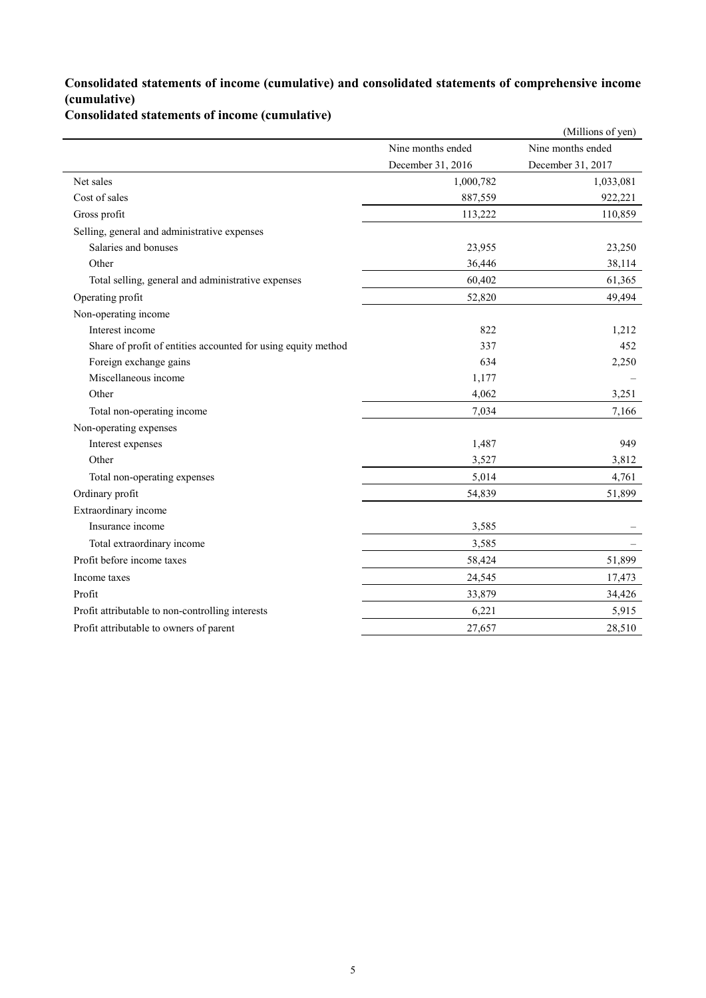## **Consolidated statements of income (cumulative) and consolidated statements of comprehensive income (cumulative)**

**Consolidated statements of income (cumulative)**

|                                                               |                   | (Millions of yen) |
|---------------------------------------------------------------|-------------------|-------------------|
|                                                               | Nine months ended | Nine months ended |
|                                                               | December 31, 2016 | December 31, 2017 |
| Net sales                                                     | 1,000,782         | 1,033,081         |
| Cost of sales                                                 | 887,559           | 922,221           |
| Gross profit                                                  | 113,222           | 110,859           |
| Selling, general and administrative expenses                  |                   |                   |
| Salaries and bonuses                                          | 23,955            | 23,250            |
| Other                                                         | 36,446            | 38,114            |
| Total selling, general and administrative expenses            | 60,402            | 61,365            |
| Operating profit                                              | 52,820            | 49,494            |
| Non-operating income                                          |                   |                   |
| Interest income                                               | 822               | 1,212             |
| Share of profit of entities accounted for using equity method | 337               | 452               |
| Foreign exchange gains                                        | 634               | 2,250             |
| Miscellaneous income                                          | 1,177             |                   |
| Other                                                         | 4,062             | 3,251             |
| Total non-operating income                                    | 7,034             | 7,166             |
| Non-operating expenses                                        |                   |                   |
| Interest expenses                                             | 1,487             | 949               |
| Other                                                         | 3,527             | 3,812             |
| Total non-operating expenses                                  | 5,014             | 4,761             |
| Ordinary profit                                               | 54,839            | 51,899            |
| Extraordinary income                                          |                   |                   |
| Insurance income                                              | 3,585             |                   |
| Total extraordinary income                                    | 3,585             |                   |
| Profit before income taxes                                    | 58,424            | 51,899            |
| Income taxes                                                  | 24,545            | 17,473            |
| Profit                                                        | 33,879            | 34,426            |
| Profit attributable to non-controlling interests              | 6,221             | 5,915             |
| Profit attributable to owners of parent                       | 27,657            | 28,510            |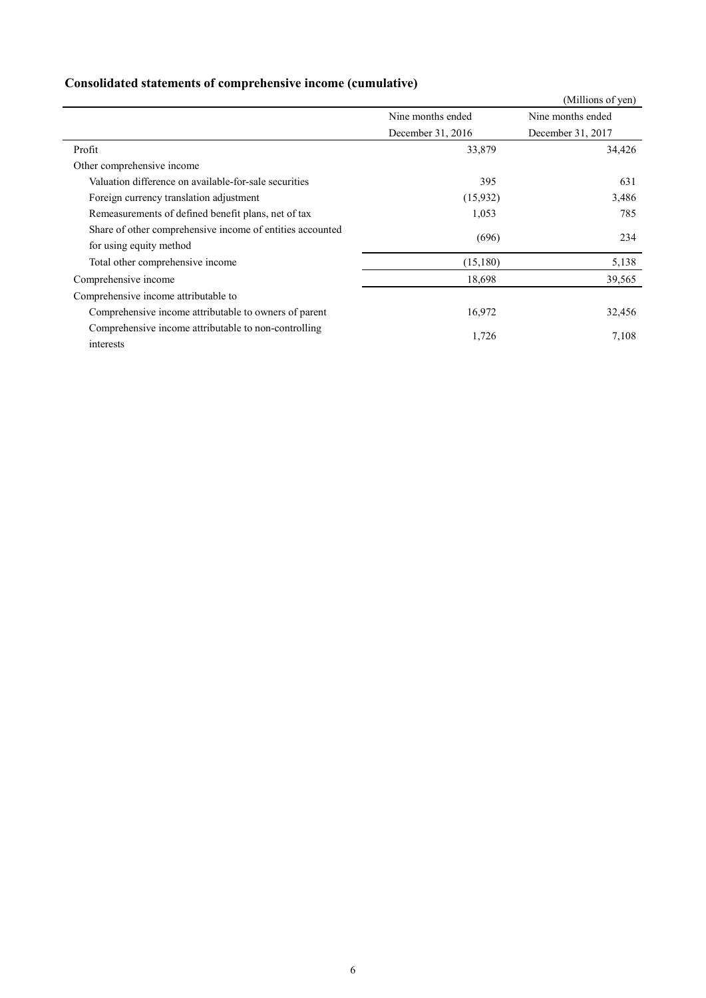|                                                                                      |                   | (Millions of yen)                      |  |  |  |
|--------------------------------------------------------------------------------------|-------------------|----------------------------------------|--|--|--|
|                                                                                      | Nine months ended | Nine months ended<br>December 31, 2017 |  |  |  |
|                                                                                      | December 31, 2016 |                                        |  |  |  |
| Profit                                                                               | 33,879            | 34,426                                 |  |  |  |
| Other comprehensive income                                                           |                   |                                        |  |  |  |
| Valuation difference on available-for-sale securities                                | 395               | 631                                    |  |  |  |
| Foreign currency translation adjustment                                              | (15,932)          | 3,486                                  |  |  |  |
| Remeasurements of defined benefit plans, net of tax                                  | 1,053             | 785                                    |  |  |  |
| Share of other comprehensive income of entities accounted<br>for using equity method | (696)             | 234                                    |  |  |  |
| Total other comprehensive income                                                     | (15,180)          | 5,138                                  |  |  |  |
| Comprehensive income                                                                 | 18,698            | 39,565                                 |  |  |  |
| Comprehensive income attributable to                                                 |                   |                                        |  |  |  |
| Comprehensive income attributable to owners of parent                                | 16,972            | 32,456                                 |  |  |  |
| Comprehensive income attributable to non-controlling<br>interests                    | 1,726             | 7,108                                  |  |  |  |